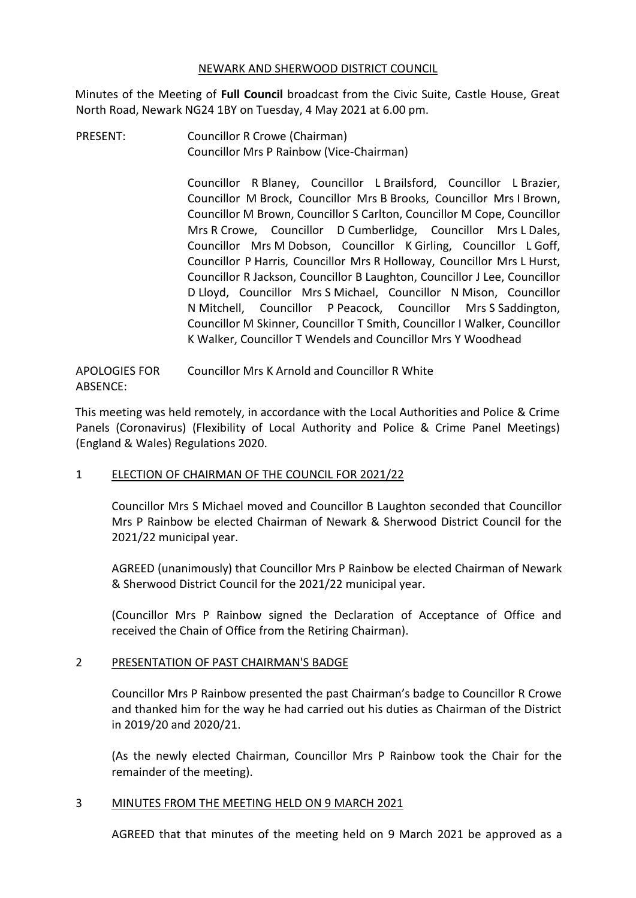## NEWARK AND SHERWOOD DISTRICT COUNCIL

Minutes of the Meeting of **Full Council** broadcast from the Civic Suite, Castle House, Great North Road, Newark NG24 1BY on Tuesday, 4 May 2021 at 6.00 pm.

PRESENT: Councillor R Crowe (Chairman) Councillor Mrs P Rainbow (Vice-Chairman)

> Councillor R Blaney, Councillor L Brailsford, Councillor L Brazier, Councillor M Brock, Councillor Mrs B Brooks, Councillor Mrs I Brown, Councillor M Brown, Councillor S Carlton, Councillor M Cope, Councillor Mrs R Crowe, Councillor D Cumberlidge, Councillor Mrs L Dales, Councillor Mrs M Dobson, Councillor K Girling, Councillor L Goff, Councillor P Harris, Councillor Mrs R Holloway, Councillor Mrs L Hurst, Councillor R Jackson, Councillor B Laughton, Councillor J Lee, Councillor D Lloyd, Councillor Mrs S Michael, Councillor N Mison, Councillor N Mitchell, Councillor P Peacock, Councillor Mrs S Saddington, Councillor M Skinner, Councillor T Smith, Councillor I Walker, Councillor K Walker, Councillor T Wendels and Councillor Mrs Y Woodhead

APOLOGIES FOR ABSENCE: Councillor Mrs K Arnold and Councillor R White

This meeting was held remotely, in accordance with the Local Authorities and Police & Crime Panels (Coronavirus) (Flexibility of Local Authority and Police & Crime Panel Meetings) (England & Wales) Regulations 2020.

# 1 ELECTION OF CHAIRMAN OF THE COUNCIL FOR 2021/22

Councillor Mrs S Michael moved and Councillor B Laughton seconded that Councillor Mrs P Rainbow be elected Chairman of Newark & Sherwood District Council for the 2021/22 municipal year.

AGREED (unanimously) that Councillor Mrs P Rainbow be elected Chairman of Newark & Sherwood District Council for the 2021/22 municipal year.

(Councillor Mrs P Rainbow signed the Declaration of Acceptance of Office and received the Chain of Office from the Retiring Chairman).

# 2 PRESENTATION OF PAST CHAIRMAN'S BADGE

Councillor Mrs P Rainbow presented the past Chairman's badge to Councillor R Crowe and thanked him for the way he had carried out his duties as Chairman of the District in 2019/20 and 2020/21.

(As the newly elected Chairman, Councillor Mrs P Rainbow took the Chair for the remainder of the meeting).

# 3 MINUTES FROM THE MEETING HELD ON 9 MARCH 2021

AGREED that that minutes of the meeting held on 9 March 2021 be approved as a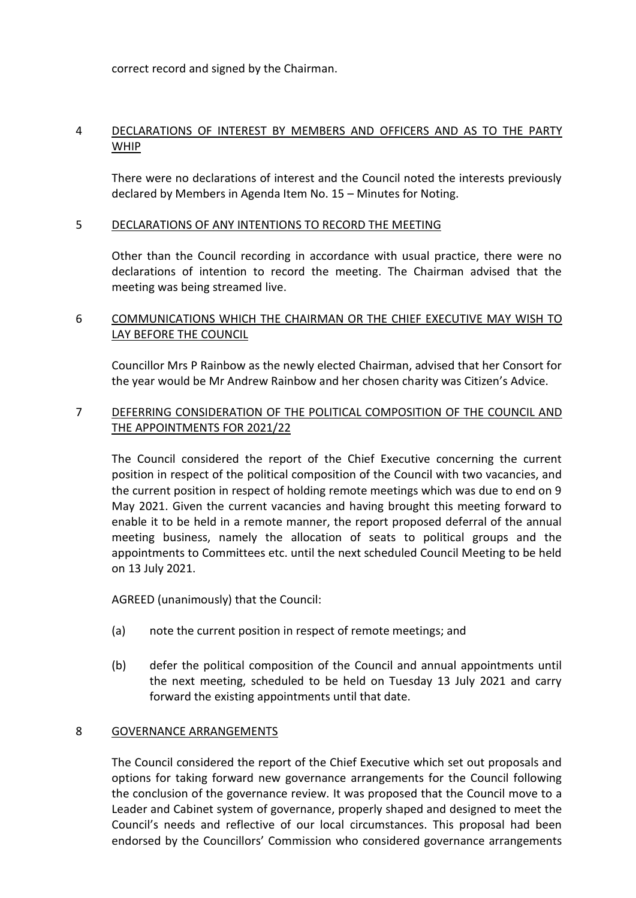correct record and signed by the Chairman.

# 4 DECLARATIONS OF INTEREST BY MEMBERS AND OFFICERS AND AS TO THE PARTY WHIP

There were no declarations of interest and the Council noted the interests previously declared by Members in Agenda Item No. 15 – Minutes for Noting.

#### 5 DECLARATIONS OF ANY INTENTIONS TO RECORD THE MEETING

Other than the Council recording in accordance with usual practice, there were no declarations of intention to record the meeting. The Chairman advised that the meeting was being streamed live.

# 6 COMMUNICATIONS WHICH THE CHAIRMAN OR THE CHIEF EXECUTIVE MAY WISH TO LAY BEFORE THE COUNCIL

Councillor Mrs P Rainbow as the newly elected Chairman, advised that her Consort for the year would be Mr Andrew Rainbow and her chosen charity was Citizen's Advice.

# 7 DEFERRING CONSIDERATION OF THE POLITICAL COMPOSITION OF THE COUNCIL AND THE APPOINTMENTS FOR 2021/22

The Council considered the report of the Chief Executive concerning the current position in respect of the political composition of the Council with two vacancies, and the current position in respect of holding remote meetings which was due to end on 9 May 2021. Given the current vacancies and having brought this meeting forward to enable it to be held in a remote manner, the report proposed deferral of the annual meeting business, namely the allocation of seats to political groups and the appointments to Committees etc. until the next scheduled Council Meeting to be held on 13 July 2021.

AGREED (unanimously) that the Council:

- (a) note the current position in respect of remote meetings; and
- (b) defer the political composition of the Council and annual appointments until the next meeting, scheduled to be held on Tuesday 13 July 2021 and carry forward the existing appointments until that date.

#### 8 GOVERNANCE ARRANGEMENTS

The Council considered the report of the Chief Executive which set out proposals and options for taking forward new governance arrangements for the Council following the conclusion of the governance review. It was proposed that the Council move to a Leader and Cabinet system of governance, properly shaped and designed to meet the Council's needs and reflective of our local circumstances. This proposal had been endorsed by the Councillors' Commission who considered governance arrangements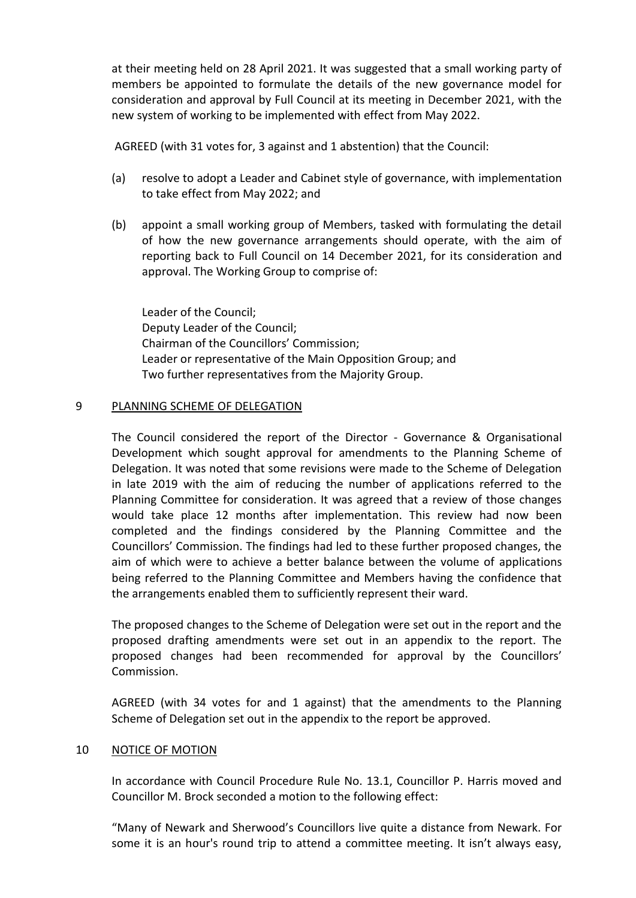at their meeting held on 28 April 2021. It was suggested that a small working party of members be appointed to formulate the details of the new governance model for consideration and approval by Full Council at its meeting in December 2021, with the new system of working to be implemented with effect from May 2022.

AGREED (with 31 votes for, 3 against and 1 abstention) that the Council:

- (a) resolve to adopt a Leader and Cabinet style of governance, with implementation to take effect from May 2022; and
- (b) appoint a small working group of Members, tasked with formulating the detail of how the new governance arrangements should operate, with the aim of reporting back to Full Council on 14 December 2021, for its consideration and approval. The Working Group to comprise of:

Leader of the Council; Deputy Leader of the Council; Chairman of the Councillors' Commission; Leader or representative of the Main Opposition Group; and Two further representatives from the Majority Group.

# 9 PLANNING SCHEME OF DELEGATION

The Council considered the report of the Director - Governance & Organisational Development which sought approval for amendments to the Planning Scheme of Delegation. It was noted that some revisions were made to the Scheme of Delegation in late 2019 with the aim of reducing the number of applications referred to the Planning Committee for consideration. It was agreed that a review of those changes would take place 12 months after implementation. This review had now been completed and the findings considered by the Planning Committee and the Councillors' Commission. The findings had led to these further proposed changes, the aim of which were to achieve a better balance between the volume of applications being referred to the Planning Committee and Members having the confidence that the arrangements enabled them to sufficiently represent their ward.

The proposed changes to the Scheme of Delegation were set out in the report and the proposed drafting amendments were set out in an appendix to the report. The proposed changes had been recommended for approval by the Councillors' Commission.

AGREED (with 34 votes for and 1 against) that the amendments to the Planning Scheme of Delegation set out in the appendix to the report be approved.

# 10 NOTICE OF MOTION

In accordance with Council Procedure Rule No. 13.1, Councillor P. Harris moved and Councillor M. Brock seconded a motion to the following effect:

"Many of Newark and Sherwood's Councillors live quite a distance from Newark. For some it is an hour's round trip to attend a committee meeting. It isn't always easy,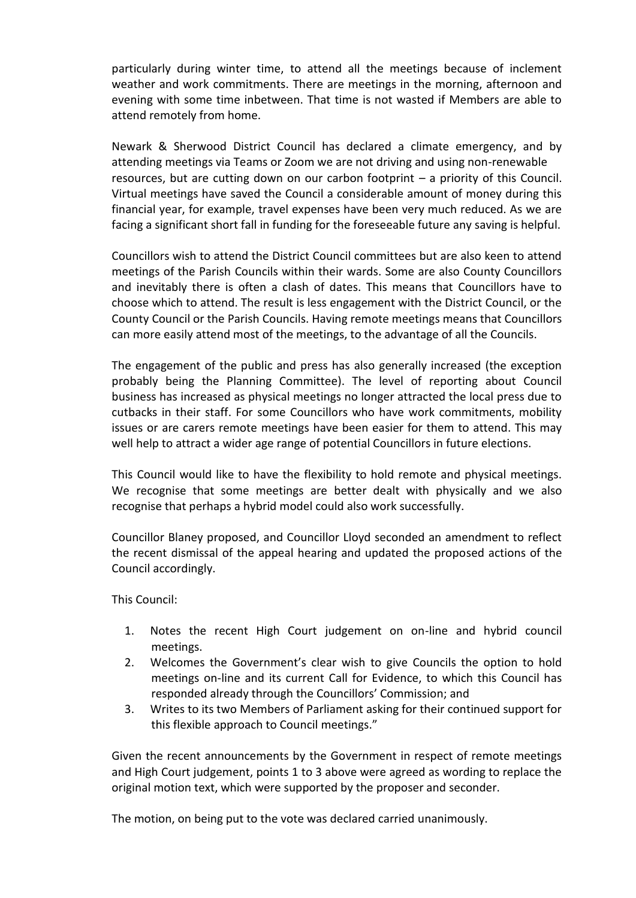particularly during winter time, to attend all the meetings because of inclement weather and work commitments. There are meetings in the morning, afternoon and evening with some time inbetween. That time is not wasted if Members are able to attend remotely from home.

Newark & Sherwood District Council has declared a climate emergency, and by attending meetings via Teams or Zoom we are not driving and using non-renewable resources, but are cutting down on our carbon footprint – a priority of this Council. Virtual meetings have saved the Council a considerable amount of money during this financial year, for example, travel expenses have been very much reduced. As we are facing a significant short fall in funding for the foreseeable future any saving is helpful.

Councillors wish to attend the District Council committees but are also keen to attend meetings of the Parish Councils within their wards. Some are also County Councillors and inevitably there is often a clash of dates. This means that Councillors have to choose which to attend. The result is less engagement with the District Council, or the County Council or the Parish Councils. Having remote meetings means that Councillors can more easily attend most of the meetings, to the advantage of all the Councils.

The engagement of the public and press has also generally increased (the exception probably being the Planning Committee). The level of reporting about Council business has increased as physical meetings no longer attracted the local press due to cutbacks in their staff. For some Councillors who have work commitments, mobility issues or are carers remote meetings have been easier for them to attend. This may well help to attract a wider age range of potential Councillors in future elections.

This Council would like to have the flexibility to hold remote and physical meetings. We recognise that some meetings are better dealt with physically and we also recognise that perhaps a hybrid model could also work successfully.

Councillor Blaney proposed, and Councillor Lloyd seconded an amendment to reflect the recent dismissal of the appeal hearing and updated the proposed actions of the Council accordingly.

This Council:

- 1. Notes the recent High Court judgement on on-line and hybrid council meetings.
- 2. Welcomes the Government's clear wish to give Councils the option to hold meetings on-line and its current Call for Evidence, to which this Council has responded already through the Councillors' Commission; and
- 3. Writes to its two Members of Parliament asking for their continued support for this flexible approach to Council meetings."

Given the recent announcements by the Government in respect of remote meetings and High Court judgement, points 1 to 3 above were agreed as wording to replace the original motion text, which were supported by the proposer and seconder.

The motion, on being put to the vote was declared carried unanimously.